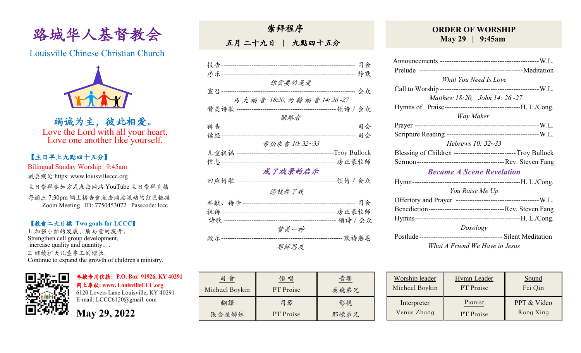

Louisville Chinese Christian Church



竭诚为主,彼此相爱。 Love the Lord with all your heart, Love one another like yourself.

## 【主日早上九點四⼗五分】

Bilingual Sunday Worship | 9:45am

教会網站 https: www.louisvilleccc.org

主日崇拜參加方式点击网站 YouTube 主日崇拜直播

每週三 7:30pm 網上禱告會点击网站滚动的红色链接 Zoom Meeting ID: 7750453072 Passcode: lccc

### 【教會⼆⼤目標 **Two goals for LCCC**】

1. 加强小组的发展, 质与量的提升。 Strengthen cell group development, increase quality and quantity。. 2. 继续扩⼤⼉童事⼯的增长。 Continue to expand the growth of children's ministry.



奉献专用信箱:**P.O. Box 91926, KY 40291**  ⽹上奉献**: www. LouisvilleCCC.org**

6120 Lovers Lane Louisville, KY 40291 E-mail: LCCC6120@gmail. com

**May 29, 2022**

| 崇拜程序 |  |
|------|--|
|      |  |

五月 二十九日 | 九點四十五分

|                             | 司会                   |
|-----------------------------|----------------------|
|                             |                      |
| 你需要的是爱                      |                      |
|                             |                      |
| 宣召------                    | 会众                   |
| 馬太福音 18:20, 約翰福音14:26-27    |                      |
| 赞美诗歌 ---------------------- | -------------领诗 / 会众 |
| 開路者                         |                      |
|                             |                      |
|                             |                      |
|                             |                      |
| 希伯來書 10:32~33               |                      |
| 儿童祝福 ------------------     |                      |
|                             |                      |
|                             |                      |
| 成了戏景的启示                     |                      |
| 回应诗歌 -------                | -领诗/会众               |
| 您鼓舞了我                       |                      |
|                             |                      |
|                             |                      |
|                             |                      |
|                             |                      |
| 赞美一神                        |                      |
| 殿乐 --------                 | ------ 默祷感恩          |
| 耶稣恩友                        |                      |

| 會              | 唱         | 音響   |
|----------------|-----------|------|
| Michael Boykin | PT Praise | 秦飛弟兄 |
| 翻譯             | 司琴        | 影視   |
| 張金星姊妹          | PT Praise | 邢嵘弟兄 |

### **ORDER OF WORSHIP May 29 | 9:45am**

| What You Need Is Love                                       |  |
|-------------------------------------------------------------|--|
|                                                             |  |
| Matthew 18:20, John 14: 26 -27                              |  |
|                                                             |  |
| Way Maker                                                   |  |
|                                                             |  |
|                                                             |  |
| <i>Hebrews 10:</i> $32 - 33$                                |  |
| Blessing of Children --------------------------Troy Bullock |  |
|                                                             |  |
| <b>Became A Scene Revelation</b>                            |  |
|                                                             |  |
| You Raise Me Up                                             |  |
|                                                             |  |
|                                                             |  |
|                                                             |  |
| Doxology                                                    |  |
|                                                             |  |
| What A Friend We Have in Jesus                              |  |
|                                                             |  |

| Worship leader | <b>Hymn</b> Leader | Sound       |
|----------------|--------------------|-------------|
| Michael Boykin | PT Praise          | Fei Qin     |
| Interpreter    | Pianist            | PPT & Video |
| Venus Zhang    | PT Praise          | Rong Xing   |